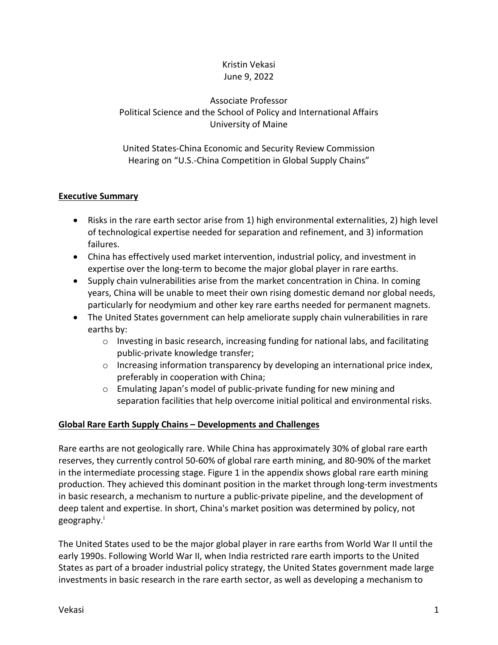# Kristin Vekasi June 9, 2022

Associate Professor Political Science and the School of Policy and International Affairs University of Maine

United States-China Economic and Security Review Commission Hearing on "U.S.-China Competition in Global Supply Chains"

# **Executive Summary**

- Risks in the rare earth sector arise from 1) high environmental externalities, 2) high level of technological expertise needed for separation and refinement, and 3) information failures.
- China has effectively used market intervention, industrial policy, and investment in expertise over the long-term to become the major global player in rare earths.
- Supply chain vulnerabilities arise from the market concentration in China. In coming years, China will be unable to meet their own rising domestic demand nor global needs, particularly for neodymium and other key rare earths needed for permanent magnets.
- The United States government can help ameliorate supply chain vulnerabilities in rare earths by:
	- $\circ$  Investing in basic research, increasing funding for national labs, and facilitating public-private knowledge transfer;
	- $\circ$  Increasing information transparency by developing an international price index, preferably in cooperation with China;
	- o Emulating Japan's model of public-private funding for new mining and separation facilities that help overcome initial political and environmental risks.

## **Global Rare Earth Supply Chains – Developments and Challenges**

Rare earths are not geologically rare. While China has approximately 30% of global rare earth reserves, they currently control 50-60% of global rare earth mining, and 80-90% of the market in the intermediate processing stage. Figure 1 in the appendix shows global rare earth mining production. They achieved this dominant position in the market through long-term investments in basic research, a mechanism to nurture a public-private pipeline, and the development of deep talent and expertise. In short, China's market position was determined by policy, not geography.<sup>[i](#page-2-0)</sup>

The United States used to be the major global player in rare earths from World War II until the early 1990s. Following World War II, when India restricted rare earth imports to the United States as part of a broader industrial policy strategy, the United States government made large investments in basic research in the rare earth sector, as well as developing a mechanism to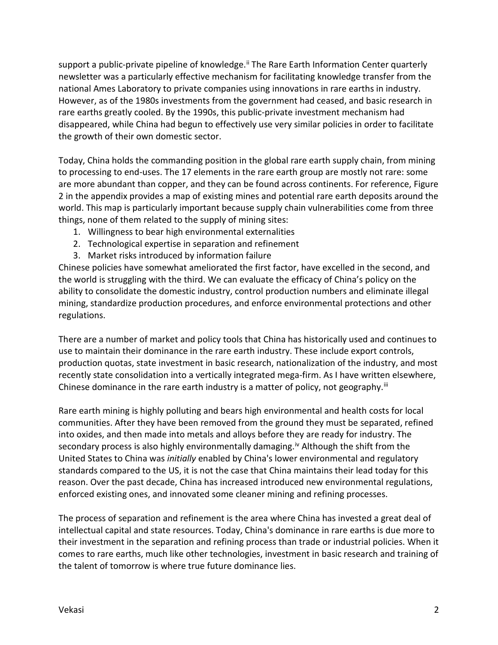support a public-private pipeline of knowledge.<sup>[ii](#page-2-1)</sup> The Rare Earth Information Center quarterly newsletter was a particularly effective mechanism for facilitating knowledge transfer from the national Ames Laboratory to private companies using innovations in rare earths in industry. However, as of the 1980s investments from the government had ceased, and basic research in rare earths greatly cooled. By the 1990s, this public-private investment mechanism had disappeared, while China had begun to effectively use very similar policies in order to facilitate the growth of their own domestic sector.

Today, China holds the commanding position in the global rare earth supply chain, from mining to processing to end-uses. The 17 elements in the rare earth group are mostly not rare: some are more abundant than copper, and they can be found across continents. For reference, Figure 2 in the appendix provides a map of existing mines and potential rare earth deposits around the world. This map is particularly important because supply chain vulnerabilities come from three things, none of them related to the supply of mining sites:

- 1. Willingness to bear high environmental externalities
- 2. Technological expertise in separation and refinement
- 3. Market risks introduced by information failure

Chinese policies have somewhat ameliorated the first factor, have excelled in the second, and the world is struggling with the third. We can evaluate the efficacy of China's policy on the ability to consolidate the domestic industry, control production numbers and eliminate illegal mining, standardize production procedures, and enforce environmental protections and other regulations.

There are a number of market and policy tools that China has historically used and continues to use to maintain their dominance in the rare earth industry. These include export controls, production quotas, state investment in basic research, nationalization of the industry, and most recently state consolidation into a vertically integrated mega-firm. As I have written elsewhere, Chinese dominance in the rare earth industry is a matter of policy, not geography. $iii$ 

Rare earth mining is highly polluting and bears high environmental and health costs for local communities. After they have been removed from the ground they must be separated, refined into oxides, and then made into metals and alloys before they are ready for industry. The secondary process is also highly environmentally damaging.<sup>[iv](#page-2-3)</sup> Although the shift from the United States to China was *initially* enabled by China's lower environmental and regulatory standards compared to the US, it is not the case that China maintains their lead today for this reason. Over the past decade, China has increased introduced new environmental regulations, enforced existing ones, and innovated some cleaner mining and refining processes.

The process of separation and refinement is the area where China has invested a great deal of intellectual capital and state resources. Today, China's dominance in rare earths is due more to their investment in the separation and refining process than trade or industrial policies. When it comes to rare earths, much like other technologies, investment in basic research and training of the talent of tomorrow is where true future dominance lies.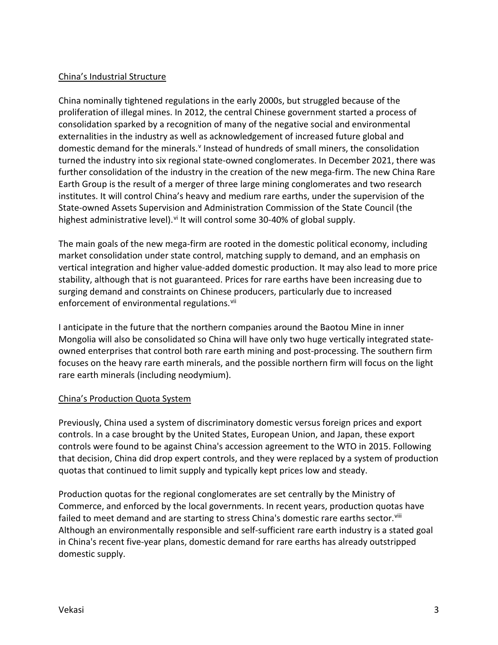### China's Industrial Structure

China nominally tightened regulations in the early 2000s, but struggled because of the proliferation of illegal mines. In 2012, the central Chinese government started a process of consolidation sparked by a recognition of many of the negative social and environmental externalities in the industry as well as acknowledgement of increased future global and domestic demand for the minerals.<sup>[v](#page-3-0)</sup> Instead of hundreds of small miners, the consolidation turned the industry into six regional state-owned conglomerates. In December 2021, there was further consolidation of the industry in the creation of the new mega-firm. The new China Rare Earth Group is the result of a merger of three large mining conglomerates and two research institutes. It will control China's heavy and medium rare earths, under the supervision of the State-owned Assets Supervision and Administration Commission of the State Council (the highest administrative level).<sup>[vi](#page-3-1)</sup> It will control some 30-40% of global supply.

The main goals of the new mega-firm are rooted in the domestic political economy, including market consolidation under state control, matching supply to demand, and an emphasis on vertical integration and higher value-added domestic production. It may also lead to more price stability, although that is not guaranteed. Prices for rare earths have been increasing due to surging demand and constraints on Chinese producers, particularly due to increased enforcement of environmental regulations.<sup>[vii](#page-3-2)</sup>

I anticipate in the future that the northern companies around the Baotou Mine in inner Mongolia will also be consolidated so China will have only two huge vertically integrated stateowned enterprises that control both rare earth mining and post-processing. The southern firm focuses on the heavy rare earth minerals, and the possible northern firm will focus on the light rare earth minerals (including neodymium).

#### China's Production Quota System

Previously, China used a system of discriminatory domestic versus foreign prices and export controls. In a case brought by the United States, European Union, and Japan, these export controls were found to be against China's accession agreement to the WTO in 2015. Following that decision, China did drop expert controls, and they were replaced by a system of production quotas that continued to limit supply and typically kept prices low and steady.

<span id="page-2-3"></span><span id="page-2-2"></span><span id="page-2-1"></span><span id="page-2-0"></span>Production quotas for the regional conglomerates are set centrally by the Ministry of Commerce, and enforced by the local governments. In recent years, production quotas have failed to meet demand and are starting to stress China's domestic rare earths sector.<sup>[viii](#page-3-3)</sup> Although an environmentally responsible and self-sufficient rare earth industry is a stated goal in China's recent five-year plans, domestic demand for rare earths has already outstripped domestic supply.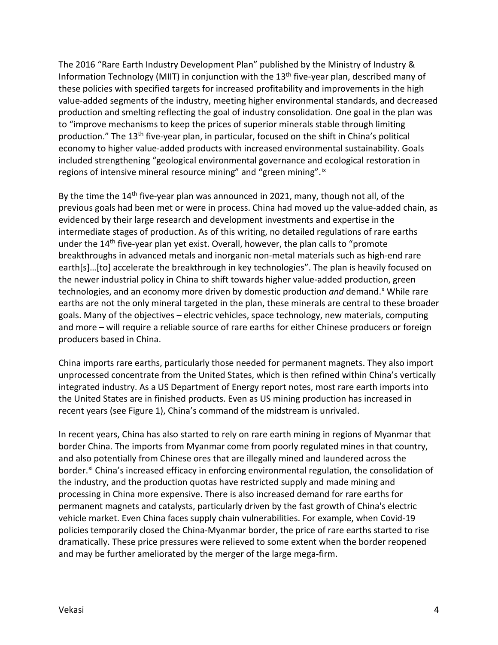<span id="page-3-2"></span><span id="page-3-1"></span><span id="page-3-0"></span>The 2016 "Rare Earth Industry Development Plan" published by the Ministry of Industry & Information Technology (MIIT) in conjunction with the 13<sup>th</sup> five-year plan, described many of these policies with specified targets for increased profitability and improvements in the high value-added segments of the industry, meeting higher environmental standards, and decreased production and smelting reflecting the goal of industry consolidation. One goal in the plan was to "improve mechanisms to keep the prices of superior minerals stable through limiting production." The 13<sup>th</sup> five-year plan, in particular, focused on the shift in China's political economy to higher value-added products with increased environmental sustainability. Goals included strengthening "geological environmental governance and ecological restoration in regions of intensive mineral resource mining" and "green mining".<sup>[ix](#page-3-4)</sup>

<span id="page-3-8"></span><span id="page-3-7"></span><span id="page-3-6"></span><span id="page-3-5"></span><span id="page-3-4"></span><span id="page-3-3"></span>By the time the 14<sup>th</sup> five-year plan was announced in 2021, many, though not all, of the previous goals had been met or were in process. China had moved up the value-added chain, as evidenced by their large research and development investments and expertise in the intermediate stages of production. As of this writing, no detailed regulations of rare earths under the 14<sup>th</sup> five-year plan yet exist. Overall, however, the plan calls to "promote breakthroughs in advanced metals and inorganic non-metal materials such as high-end rare earth[s]…[to] accelerate the breakthrough in key technologies". The plan is heavily focused on the newer industrial policy in China to shift towards higher value-added production, green technologies, and an economy more driven by domestic production *and* demand.<sup>[x](#page-3-5)</sup> While rare earths are not the only mineral targeted in the plan, these minerals are central to these broader goals. Many of the objectives – electric vehicles, space technology, new materials, computing and more – will require a reliable source of rare earths for either Chinese producers or foreign producers based in China.

<span id="page-3-11"></span><span id="page-3-10"></span><span id="page-3-9"></span>China imports rare earths, particularly those needed for permanent magnets. They also import unprocessed concentrate from the United States, which is then refined within China's vertically integrated industry. As a US Department of Energy report notes, most rare earth imports into the United States are in finished products. Even as US mining production has increased in recent years (see Figure 1), China's command of the midstream is unrivaled.

<span id="page-3-16"></span><span id="page-3-15"></span><span id="page-3-14"></span><span id="page-3-13"></span><span id="page-3-12"></span>In recent years, China has also started to rely on rare earth mining in regions of Myanmar that border China. The imports from Myanmar come from poorly regulated mines in that country, and also potentially from Chinese ores that are illegally mined and laundered across the border.<sup>[xi](#page-3-6)</sup> China's increased efficacy in enforcing environmental regulation, the consolidation of the industry, and the production quotas have restricted supply and made mining and processing in China more expensive. There is also increased demand for rare earths for permanent magnets and catalysts, particularly driven by the fast growth of China's electric vehicle market. Even China faces supply chain vulnerabilities. For example, when Covid-19 policies temporarily closed the China-Myanmar border, the price of rare earths started to rise dramatically. These price pressures were relieved to some extent when the border reopened and may be further ameliorated by the merger of the large mega-firm.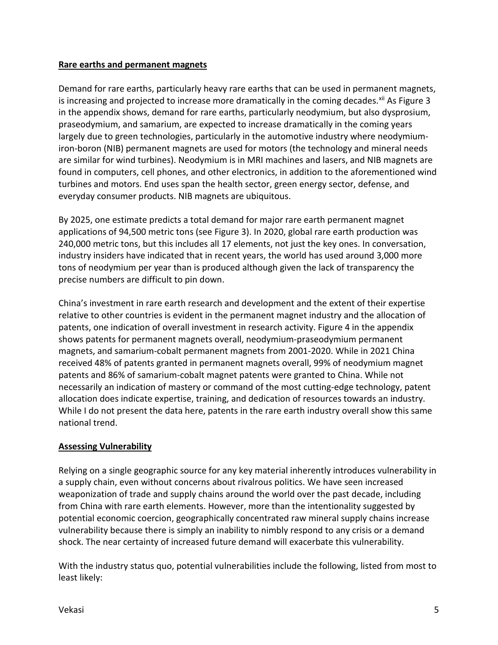#### **Rare earths and permanent magnets**

Demand for rare earths, particularly heavy rare earths that can be used in permanent magnets, is increasing and projected to increase more dramatically in the coming decades.<sup>[xii](#page-3-7)</sup> As Figure 3 in the appendix shows, demand for rare earths, particularly neodymium, but also dysprosium, praseodymium, and samarium, are expected to increase dramatically in the coming years largely due to green technologies, particularly in the automotive industry where neodymiumiron-boron (NIB) permanent magnets are used for motors (the technology and mineral needs are similar for wind turbines). Neodymium is in MRI machines and lasers, and NIB magnets are found in computers, cell phones, and other electronics, in addition to the aforementioned wind turbines and motors. End uses span the health sector, green energy sector, defense, and everyday consumer products. NIB magnets are ubiquitous.

By 2025, one estimate predicts a total demand for major rare earth permanent magnet applications of 94,500 metric tons (see Figure 3). In 2020, global rare earth production was 240,000 metric tons, but this includes all 17 elements, not just the key ones. In conversation, industry insiders have indicated that in recent years, the world has used around 3,000 more tons of neodymium per year than is produced although given the lack of transparency the precise numbers are difficult to pin down.

China's investment in rare earth research and development and the extent of their expertise relative to other countries is evident in the permanent magnet industry and the allocation of patents, one indication of overall investment in research activity. Figure 4 in the appendix shows patents for permanent magnets overall, neodymium-praseodymium permanent magnets, and samarium-cobalt permanent magnets from 2001-2020. While in 2021 China received 48% of patents granted in permanent magnets overall, 99% of neodymium magnet patents and 86% of samarium-cobalt magnet patents were granted to China. While not necessarily an indication of mastery or command of the most cutting-edge technology, patent allocation does indicate expertise, training, and dedication of resources towards an industry. While I do not present the data here, patents in the rare earth industry overall show this same national trend.

## **Assessing Vulnerability**

Relying on a single geographic source for any key material inherently introduces vulnerability in a supply chain, even without concerns about rivalrous politics. We have seen increased weaponization of trade and supply chains around the world over the past decade, including from China with rare earth elements. However, more than the intentionality suggested by potential economic coercion, geographically concentrated raw mineral supply chains increase vulnerability because there is simply an inability to nimbly respond to any crisis or a demand shock. The near certainty of increased future demand will exacerbate this vulnerability.

With the industry status quo, potential vulnerabilities include the following, listed from most to least likely: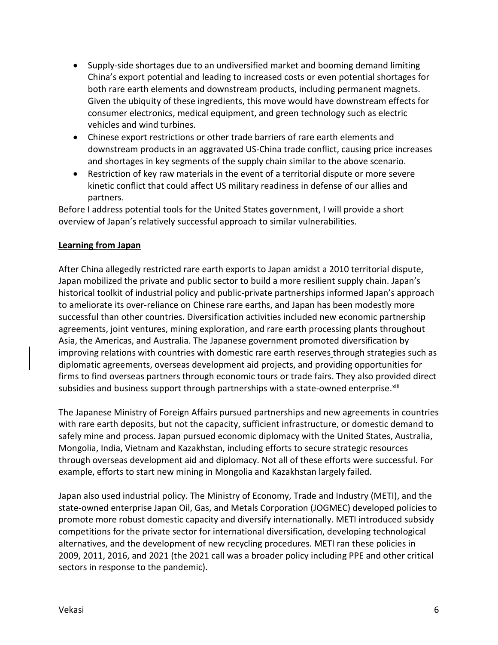- Supply-side shortages due to an undiversified market and booming demand limiting China's export potential and leading to increased costs or even potential shortages for both rare earth elements and downstream products, including permanent magnets. Given the ubiquity of these ingredients, this move would have downstream effects for consumer electronics, medical equipment, and green technology such as electric vehicles and wind turbines.
- Chinese export restrictions or other trade barriers of rare earth elements and downstream products in an aggravated US-China trade conflict, causing price increases and shortages in key segments of the supply chain similar to the above scenario.
- Restriction of key raw materials in the event of a territorial dispute or more severe kinetic conflict that could affect US military readiness in defense of our allies and partners.

Before I address potential tools for the United States government, I will provide a short overview of Japan's relatively successful approach to similar vulnerabilities.

## **Learning from Japan**

After China allegedly restricted rare earth exports to Japan amidst a 2010 territorial dispute, Japan mobilized the private and public sector to build a more resilient supply chain. Japan's historical toolkit of industrial policy and public-private partnerships informed Japan's approach to ameliorate its over-reliance on Chinese rare earths, and Japan has been modestly more successful than other countries. Diversification activities included new economic partnership agreements, joint ventures, mining exploration, and rare earth processing plants throughout Asia, the Americas, and Australia. The Japanese government promoted diversification by improving relations with countries with domestic rare earth reserves through strategies such as diplomatic agreements, overseas development aid projects, and providing opportunities for firms to find overseas partners through economic tours or trade fairs. They also provided direct subsidies and business support through partnerships with a state-owned enterprise.<sup>[xiii](#page-3-8)</sup>

The Japanese Ministry of Foreign Affairs pursued partnerships and new agreements in countries with rare earth deposits, but not the capacity, sufficient infrastructure, or domestic demand to safely mine and process. Japan pursued economic diplomacy with the United States, Australia, Mongolia, India, Vietnam and Kazakhstan, including efforts to secure strategic resources through overseas development aid and diplomacy. Not all of these efforts were successful. For example, efforts to start new mining in Mongolia and Kazakhstan largely failed.

Japan also used industrial policy. The Ministry of Economy, Trade and Industry (METI), and the state-owned enterprise Japan Oil, Gas, and Metals Corporation (JOGMEC) developed policies to promote more robust domestic capacity and diversify internationally. METI introduced subsidy competitions for the private sector for international diversification, developing technological alternatives, and the development of new recycling procedures. METI ran these policies in 2009, 2011, 2016, and 2021 (the 2021 call was a broader policy including PPE and other critical sectors in response to the pandemic).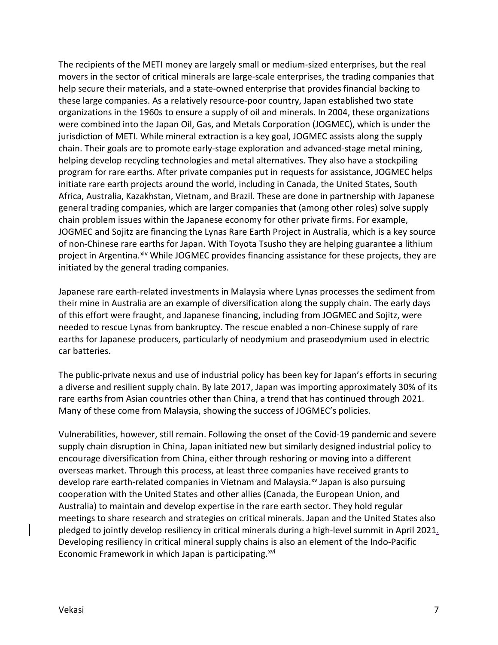The recipients of the METI money are largely small or medium-sized enterprises, but the real movers in the sector of critical minerals are large-scale enterprises, the trading companies that help secure their materials, and a state-owned enterprise that provides financial backing to these large companies. As a relatively resource-poor country, Japan established two state organizations in the 1960s to ensure a supply of oil and minerals. In 2004, these organizations were combined into the Japan Oil, Gas, and Metals Corporation (JOGMEC), which is under the jurisdiction of METI. While mineral extraction is a key goal, JOGMEC assists along the supply chain. Their goals are to promote early-stage exploration and advanced-stage metal mining, helping develop recycling technologies and metal alternatives. They also have a stockpiling program for rare earths. After private companies put in requests for assistance, JOGMEC helps initiate rare earth projects around the world, including in Canada, the United States, South Africa, Australia, Kazakhstan, Vietnam, and Brazil. These are done in partnership with Japanese general trading companies, which are larger companies that (among other roles) solve supply chain problem issues within the Japanese economy for other private firms. For example, JOGMEC and Sojitz are financing the Lynas Rare Earth Project in Australia, which is a key source of non-Chinese rare earths for Japan. With Toyota Tsusho they are helping guarantee a lithium project in Argentina. Xiv While JOGMEC provides financing assistance for these projects, they are initiated by the general trading companies.

Japanese rare earth-related investments in Malaysia where Lynas processes the sediment from their mine in Australia are an example of diversification along the supply chain. The early days of this effort were fraught, and Japanese financing, including from JOGMEC and Sojitz, were needed to rescue Lynas from bankruptcy. The rescue enabled a non-Chinese supply of rare earths for Japanese producers, particularly of neodymium and praseodymium used in electric car batteries.

The public-private nexus and use of industrial policy has been key for Japan's efforts in securing a diverse and resilient supply chain. By late 2017, Japan was importing approximately 30% of its rare earths from Asian countries other than China, a trend that has continued through 2021. Many of these come from Malaysia, showing the success of JOGMEC's policies.

Vulnerabilities, however, still remain. Following the onset of the Covid-19 pandemic and severe supply chain disruption in China, Japan initiated new but similarly designed industrial policy to encourage diversification from China, either through reshoring or moving into a different overseas market. Through this process, at least three companies have received grants to develop rare earth-related companies in Vietnam and Malaysia.<sup>[xv](#page-3-10)</sup> Japan is also pursuing cooperation with the United States and other allies (Canada, the European Union, and Australia) to maintain and develop expertise in the rare earth sector. They hold regular meetings to share research and strategies on critical minerals. Japan and the United States also pledged to jointly develop resiliency in critical minerals during a high-level summit in April 2021. Developing resiliency in critical mineral supply chains is also an element of the Indo-Pacific Economic Framework in which Japan is participating. $x^{vi}$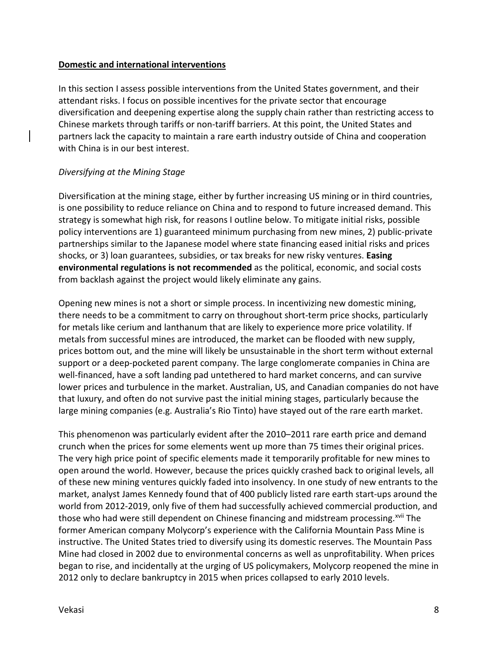#### **Domestic and international interventions**

In this section I assess possible interventions from the United States government, and their attendant risks. I focus on possible incentives for the private sector that encourage diversification and deepening expertise along the supply chain rather than restricting access to Chinese markets through tariffs or non-tariff barriers. At this point, the United States and partners lack the capacity to maintain a rare earth industry outside of China and cooperation with China is in our best interest.

## *Diversifying at the Mining Stage*

Diversification at the mining stage, either by further increasing US mining or in third countries, is one possibility to reduce reliance on China and to respond to future increased demand. This strategy is somewhat high risk, for reasons I outline below. To mitigate initial risks, possible policy interventions are 1) guaranteed minimum purchasing from new mines, 2) public-private partnerships similar to the Japanese model where state financing eased initial risks and prices shocks, or 3) loan guarantees, subsidies, or tax breaks for new risky ventures. **Easing environmental regulations is not recommended** as the political, economic, and social costs from backlash against the project would likely eliminate any gains.

Opening new mines is not a short or simple process. In incentivizing new domestic mining, there needs to be a commitment to carry on throughout short-term price shocks, particularly for metals like cerium and lanthanum that are likely to experience more price volatility. If metals from successful mines are introduced, the market can be flooded with new supply, prices bottom out, and the mine will likely be unsustainable in the short term without external support or a deep-pocketed parent company. The large conglomerate companies in China are well-financed, have a soft landing pad untethered to hard market concerns, and can survive lower prices and turbulence in the market. Australian, US, and Canadian companies do not have that luxury, and often do not survive past the initial mining stages, particularly because the large mining companies (e.g. Australia's Rio Tinto) have stayed out of the rare earth market.

This phenomenon was particularly evident after the 2010–2011 rare earth price and demand crunch when the prices for some elements went up more than 75 times their original prices. The very high price point of specific elements made it temporarily profitable for new mines to open around the world. However, because the prices quickly crashed back to original levels, all of these new mining ventures quickly faded into insolvency. In one study of new entrants to the market, analyst James Kennedy found that of 400 publicly listed rare earth start-ups around the world from 2012-2019, only five of them had successfully achieved commercial production, and those who had were still dependent on Chinese financing and midstream processing.<sup>[xvii](#page-3-12)</sup> The former American company Molycorp's experience with the California Mountain Pass Mine is instructive. The United States tried to diversify using its domestic reserves. The Mountain Pass Mine had closed in 2002 due to environmental concerns as well as unprofitability. When prices began to rise, and incidentally at the urging of US policymakers, Molycorp reopened the mine in 2012 only to declare bankruptcy in 2015 when prices collapsed to early 2010 levels.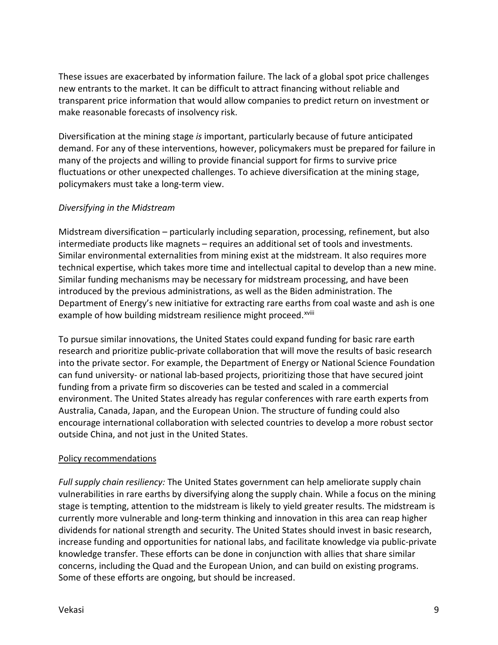These issues are exacerbated by information failure. The lack of a global spot price challenges new entrants to the market. It can be difficult to attract financing without reliable and transparent price information that would allow companies to predict return on investment or make reasonable forecasts of insolvency risk.

Diversification at the mining stage *is* important, particularly because of future anticipated demand. For any of these interventions, however, policymakers must be prepared for failure in many of the projects and willing to provide financial support for firms to survive price fluctuations or other unexpected challenges. To achieve diversification at the mining stage, policymakers must take a long-term view.

#### *Diversifying in the Midstream*

Midstream diversification – particularly including separation, processing, refinement, but also intermediate products like magnets – requires an additional set of tools and investments. Similar environmental externalities from mining exist at the midstream. It also requires more technical expertise, which takes more time and intellectual capital to develop than a new mine. Similar funding mechanisms may be necessary for midstream processing, and have been introduced by the previous administrations, as well as the Biden administration. The Department of Energy's new initiative for extracting rare earths [fr](#page-3-13)om coal waste and ash is one example of how building midstream resilience might proceed.<sup>xviii</sup>

To pursue similar innovations, the United States could expand funding for basic rare earth research and prioritize public-private collaboration that will move the results of basic research into the private sector. For example, the Department of Energy or National Science Foundation can fund university- or national lab-based projects, prioritizing those that have secured joint funding from a private firm so discoveries can be tested and scaled in a commercial environment. The United States already has regular conferences with rare earth experts from Australia, Canada, Japan, and the European Union. The structure of funding could also encourage international collaboration with selected countries to develop a more robust sector outside China, and not just in the United States.

#### Policy recommendations

*Full supply chain resiliency:* The United States government can help ameliorate supply chain vulnerabilities in rare earths by diversifying along the supply chain. While a focus on the mining stage is tempting, attention to the midstream is likely to yield greater results. The midstream is currently more vulnerable and long-term thinking and innovation in this area can reap higher dividends for national strength and security. The United States should invest in basic research, increase funding and opportunities for national labs, and facilitate knowledge via public-private knowledge transfer. These efforts can be done in conjunction with allies that share similar concerns, including the Quad and the European Union, and can build on existing programs. Some of these efforts are ongoing, but should be increased.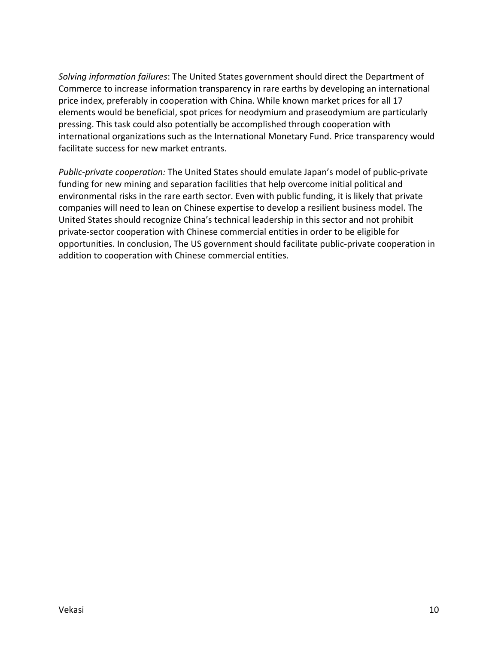*Solving information failures*: The United States government should direct the Department of Commerce to increase information transparency in rare earths by developing an international price index, preferably in cooperation with China. While known market prices for all 17 elements would be beneficial, spot prices for neodymium and praseodymium are particularly pressing. This task could also potentially be accomplished through cooperation with international organizations such as the International Monetary Fund. Price transparency would facilitate success for new market entrants.

*Public-private cooperation:* The United States should emulate Japan's model of public-private funding for new mining and separation facilities that help overcome initial political and environmental risks in the rare earth sector. Even with public funding, it is likely that private companies will need to lean on Chinese expertise to develop a resilient business model. The United States should recognize China's technical leadership in this sector and not prohibit private-sector cooperation with Chinese commercial entities in order to be eligible for opportunities. In conclusion, The US government should facilitate public-private cooperation in addition to cooperation with Chinese commercial entities.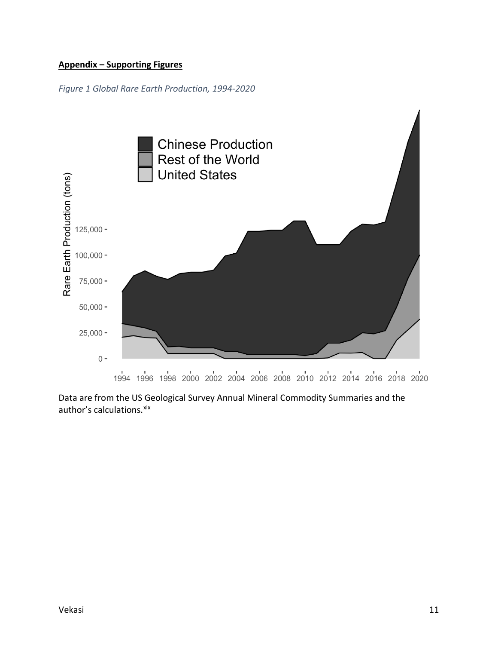# **Appendix – Supporting Figures**

*Figure 1 Global Rare Earth Production, 1994-2020*



Data are from the US Geological Survey Annual Mineral Commodity Summaries and the author's calculations. [xix](#page-3-14)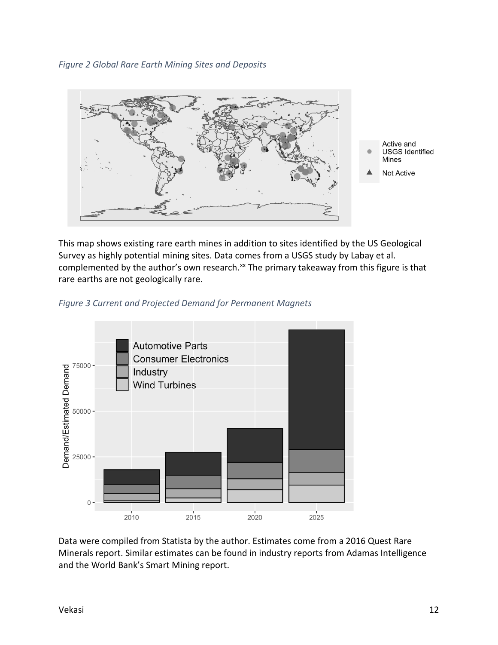*Figure 2 Global Rare Earth Mining Sites and Deposits*



This map shows existing rare earth mines in addition to sites identified by the US Geological Survey as highly potential mining sites. Data comes from a USGS study by Labay et al. complemented by the author's own research.<sup>[xx](#page-3-15)</sup> The primary takeaway from this figure is that rare earths are not geologically rare.





Data were compiled from Statista by the author. Estimates come from a 2016 Quest Rare Minerals report. Similar estimates can be found in industry reports from Adamas Intelligence and the World Bank's Smart Mining report.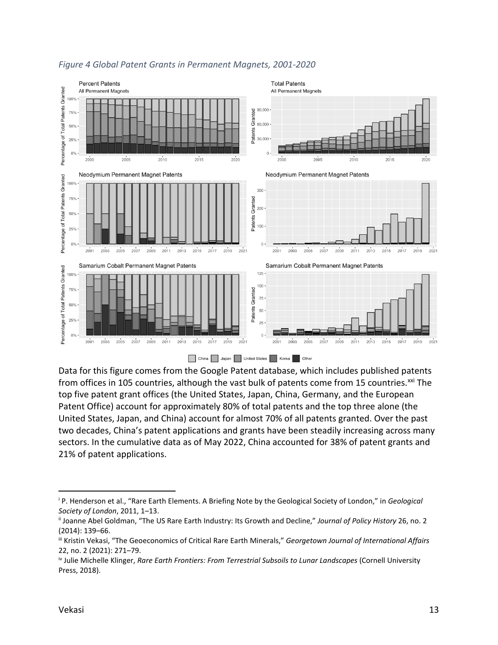

# *Figure 4 Global Patent Grants in Permanent Magnets, 2001-2020*

Data for this figure comes from the Google Patent database, which includes published patents from offices in 105 countries, although the vast bulk of patents come from 15 countries.<sup>xxi</sup> The top five patent grant offices (the United States, Japan, China, Germany, and the European Patent Office) account for approximately 80% of total patents and the top three alone (the United States, Japan, and China) account for almost 70% of all patents granted. Over the past two decades, China's patent applications and grants have been steadily increasing across many sectors. In the cumulative data as of May 2022, China accounted for 38% of patent grants and 21% of patent applications.

 $\overline{a}$ 

<sup>i</sup> P. Henderson et al., "Rare Earth Elements. A Briefing Note by the Geological Society of London," in *Geological Society of London*, 2011, 1–13.

ii Joanne Abel Goldman, "The US Rare Earth Industry: Its Growth and Decline," *Journal of Policy History* 26, no. 2 (2014): 139–66.

iii Kristin Vekasi, "The Geoeconomics of Critical Rare Earth Minerals," *Georgetown Journal of International Affairs* 22, no. 2 (2021): 271–79.

iv Julie Michelle Klinger, *Rare Earth Frontiers: From Terrestrial Subsoils to Lunar Landscapes* (Cornell University Press, 2018).